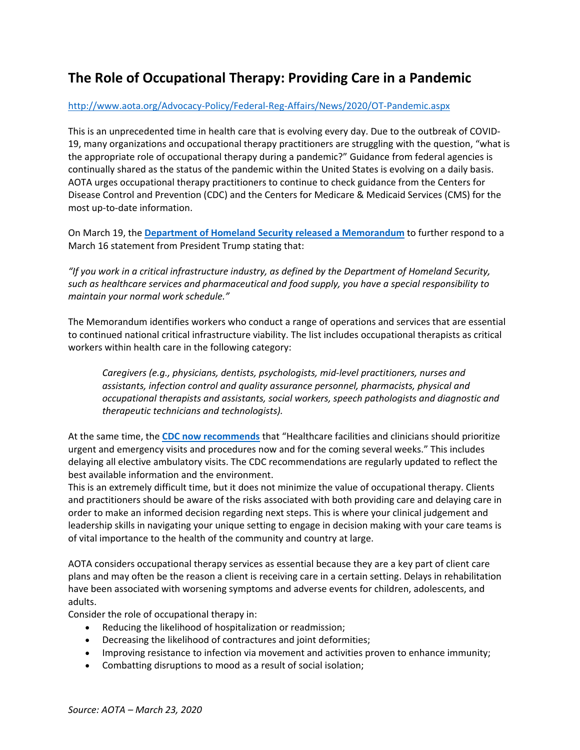## **The Role of Occupational Therapy: Providing Care in a Pandemic**

## [http://www.aota.org/Advocacy](http://www.aota.org/Advocacy-Policy/Federal-Reg-Affairs/News/2020/OT-Pandemic.aspx)‐Policy/Federal‐Reg‐Affairs/News/2020/OT‐Pandemic.aspx

This is an unprecedented time in health care that is evolving every day. Due to the outbreak of COVID‐ 19, many organizations and occupational therapy practitioners are struggling with the question, "what is the appropriate role of occupational therapy during a pandemic?" Guidance from federal agencies is continually shared as the status of the pandemic within the United States is evolving on a daily basis. AOTA urges occupational therapy practitioners to continue to check guidance from the Centers for Disease Control and Prevention (CDC) and the Centers for Medicare & Medicaid Services (CMS) for the most up‐to‐date information.

On March 19, the **Department of Homeland Security released a [Memorandum](https://www.cisa.gov/sites/default/files/publications/CISA-Guidance-on-Essential-Critical-Infrastructure-Workers-1-20-508c.pdf)** to further respond to a March 16 statement from President Trump stating that:

*"If you work in a critical infrastructure industry, as defined by the Department of Homeland Security, such as healthcare services and pharmaceutical and food supply, you have a special responsibility to maintain your normal work schedule."*

The Memorandum identifies workers who conduct a range of operations and services that are essential to continued national critical infrastructure viability. The list includes occupational therapists as critical workers within health care in the following category:

*Caregivers (e.g., physicians, dentists, psychologists, mid‐level practitioners, nurses and assistants, infection control and quality assurance personnel, pharmacists, physical and occupational therapists and assistants, social workers, speech pathologists and diagnostic and therapeutic technicians and technologists).*

At the same time, the **CDC now [recommends](https://www.cdc.gov/coronavirus/2019-ncov/healthcare-facilities/index.html)** that "Healthcare facilities and clinicians should prioritize urgent and emergency visits and procedures now and for the coming several weeks." This includes delaying all elective ambulatory visits. The CDC recommendations are regularly updated to reflect the best available information and the environment.

This is an extremely difficult time, but it does not minimize the value of occupational therapy. Clients and practitioners should be aware of the risks associated with both providing care and delaying care in order to make an informed decision regarding next steps. This is where your clinical judgement and leadership skills in navigating your unique setting to engage in decision making with your care teams is of vital importance to the health of the community and country at large.

AOTA considers occupational therapy services as essential because they are a key part of client care plans and may often be the reason a client is receiving care in a certain setting. Delays in rehabilitation have been associated with worsening symptoms and adverse events for children, adolescents, and adults.

Consider the role of occupational therapy in:

- Reducing the likelihood of hospitalization or readmission;
- Decreasing the likelihood of contractures and joint deformities;
- Improving resistance to infection via movement and activities proven to enhance immunity;
- Combatting disruptions to mood as a result of social isolation;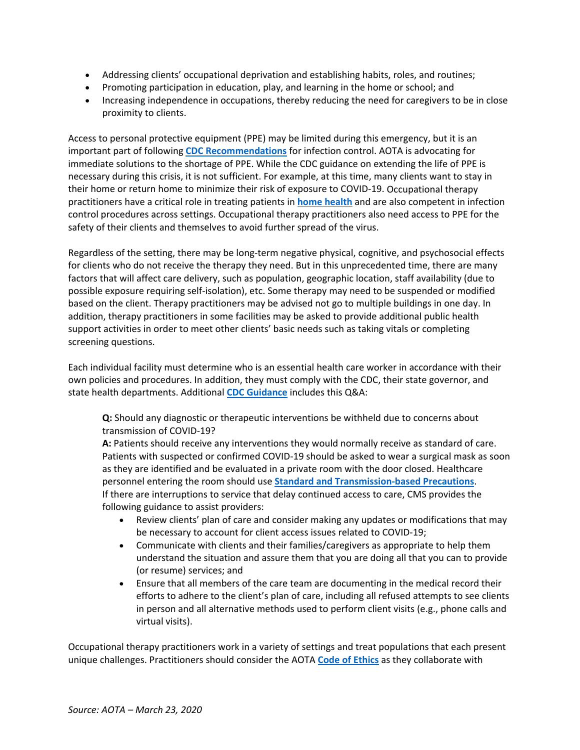- Addressing clients' occupational deprivation and establishing habits, roles, and routines;
- Promoting participation in education, play, and learning in the home or school; and
- Increasing independence in occupations, thereby reducing the need for caregivers to be in close proximity to clients.

Access to personal protective equipment (PPE) may be limited during this emergency, but it is an important part of following **CDC [Recommendations](https://www.cdc.gov/coronavirus/2019-ncov/infection-control/control-recommendations.html)** for infection control. AOTA is advocating for immediate solutions to the shortage of PPE. While the CDC guidance on extending the life of PPE is necessary during this crisis, it is not sufficient. For example, at this time, many clients want to stay in their home or return home to minimize their risk of exposure to COVID‐19. Occupational therapy practitioners have a critical role in treating patients in **home [health](https://www.aota.org/About-Occupational-Therapy/Professionals/PA/Facts/Home-Health.aspx)** and are also competent in infection control procedures across settings. Occupational therapy practitioners also need access to PPE for the safety of their clients and themselves to avoid further spread of the virus.

Regardless of the setting, there may be long-term negative physical, cognitive, and psychosocial effects for clients who do not receive the therapy they need. But in this unprecedented time, there are many factors that will affect care delivery, such as population, geographic location, staff availability (due to possible exposure requiring self‐isolation), etc. Some therapy may need to be suspended or modified based on the client. Therapy practitioners may be advised not go to multiple buildings in one day. In addition, therapy practitioners in some facilities may be asked to provide additional public health support activities in order to meet other clients' basic needs such as taking vitals or completing screening questions.

Each individual facility must determine who is an essential health care worker in accordance with their own policies and procedures. In addition, they must comply with the CDC, their state governor, and state health departments. Additional **CDC [Guidance](https://www.cdc.gov/coronavirus/2019-ncov/hcp/faq.html)** includes this Q&A:

**Q:** Should any diagnostic or therapeutic interventions be withheld due to concerns about transmission of COVID‐19?

**A:** Patients should receive any interventions they would normally receive as standard of care. Patients with suspected or confirmed COVID‐19 should be asked to wear a surgical mask as soon as they are identified and be evaluated in a private room with the door closed. Healthcare personnel entering the room should use **Standard and [Transmission](https://www.cdc.gov/coronavirus/2019-ncov/infection-control/control-recommendations.html)‐based Precautions**. If there are interruptions to service that delay continued access to care, CMS provides the following guidance to assist providers:

- Review clients' plan of care and consider making any updates or modifications that may be necessary to account for client access issues related to COVID‐19;
- Communicate with clients and their families/caregivers as appropriate to help them understand the situation and assure them that you are doing all that you can to provide (or resume) services; and
- Ensure that all members of the care team are documenting in the medical record their efforts to adhere to the client's plan of care, including all refused attempts to see clients in person and all alternative methods used to perform client visits (e.g., phone calls and virtual visits).

Occupational therapy practitioners work in a variety of settings and treat populations that each present unique challenges. Practitioners should consider the AOTA **Code of [Ethics](https://www.aota.org/Practice/Ethics/code-of-ethics.aspx)** as they collaborate with